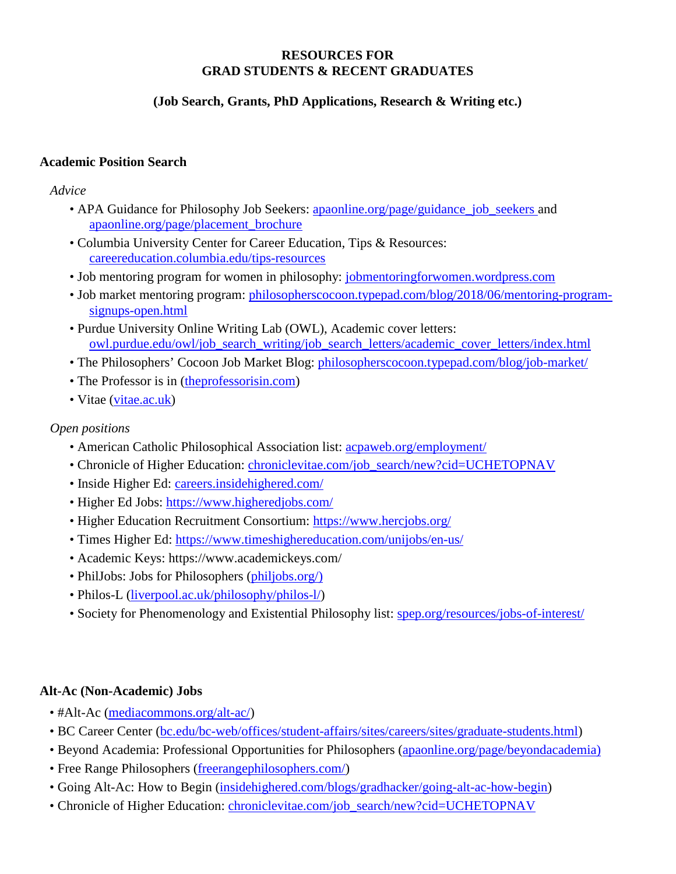#### **RESOURCES FOR GRAD STUDENTS & RECENT GRADUATES**

### **(Job Search, Grants, PhD Applications, Research & Writing etc.)**

### **Academic Position Search**

*Advice*

- APA Guidance for Philosophy Job Seekers: [apaonline.org/page/guidance\\_job\\_seekers](https://www.apaonline.org/page/guidance_job_seekers) and [apaonline.org/page/placement\\_brochure](https://www.apaonline.org/page/placement_brochure)
- Columbia University Center for Career Education, Tips & Resources: [careereducation.columbia.edu/tips-resources](https://www.careereducation.columbia.edu/tips-resources)
- Job mentoring program for women in philosophy: [jobmentoringforwomen.wordpress.com](https://jobmentoringforwomen.wordpress.com/)
- Job market mentoring program: [philosopherscocoon.typepad.com/blog/2018/06/mentoring-program](https://philosopherscocoon.typepad.com/blog/2018/06/mentoring-program-signups-open.html)[signups-open.html](https://philosopherscocoon.typepad.com/blog/2018/06/mentoring-program-signups-open.html)
- Purdue University Online Writing Lab (OWL), Academic cover letters: [owl.purdue.edu/owl/job\\_search\\_writing/job\\_search\\_letters/academic\\_cover\\_letters/index.html](https://owl.purdue.edu/owl/job_search_writing/job_search_letters/academic_cover_letters/index.html)
- The Philosophers' Cocoon Job Market Blog: [philosopherscocoon.typepad.com/blog/job-market/](https://philosopherscocoon.typepad.com/blog/job-market/)
- The Professor is in (the professorisin.com)
- Vitae [\(vitae.ac.uk\)](http://vitae.ac.uk/)

### *Open positions*

- American Catholic Philosophical Association list: [acpaweb.org/employment/](http://www.acpaweb.org/employment/)
- Chronicle of Higher Education: [chroniclevitae.com/job\\_search/new?cid=UCHETOPNAV](https://chroniclevitae.com/job_search/new?cid=UCHETOPNAV)
- Inside Higher Ed: [careers.insidehighered.com/](https://careers.insidehighered.com/)
- Higher Ed Jobs:<https://www.higheredjobs.com/>
- Higher Education Recruitment Consortium:<https://www.hercjobs.org/>
- Times Higher Ed:<https://www.timeshighereducation.com/unijobs/en-us/>
- Academic Keys: https://www.academickeys.com/
- PhilJobs: Jobs for Philosophers [\(philjobs.org/\)](https://philjobs.org/)
- Philos-L [\(liverpool.ac.uk/philosophy/philos-l/\)](https://www.liverpool.ac.uk/philosophy/philos-l/)
- Society for Phenomenology and Existential Philosophy list: [spep.org/resources/jobs-of-interest/](http://www.spep.org/resources/jobs-of-interest/)

### **Alt-Ac (Non-Academic) Jobs**

- #Alt-Ac [\(mediacommons.org/alt-ac/\)](http://mediacommons.org/alt-ac/)
- BC Career Center [\(bc.edu/bc-web/offices/student-affairs/sites/careers/sites/graduate-students.html\)](https://www.bc.edu/bc-web/offices/student-affairs/sites/careers/sites/graduate-students.html)
- Beyond Academia: Professional Opportunities for Philosophers [\(apaonline.org/page/beyondacademia\)](https://www.apaonline.org/page/beyondacademia)
- Free Range Philosophers [\(freerangephilosophers.com/\)](https://freerangephilosophers.com/)
- Going Alt-Ac: How to Begin [\(insidehighered.com/blogs/gradhacker/going-alt-ac-how-begin\)](https://www.insidehighered.com/blogs/gradhacker/going-alt-ac-how-begin)
- Chronicle of Higher Education: [chroniclevitae.com/job\\_search/new?cid=UCHETOPNAV](https://chroniclevitae.com/job_search/new?cid=UCHETOPNAV)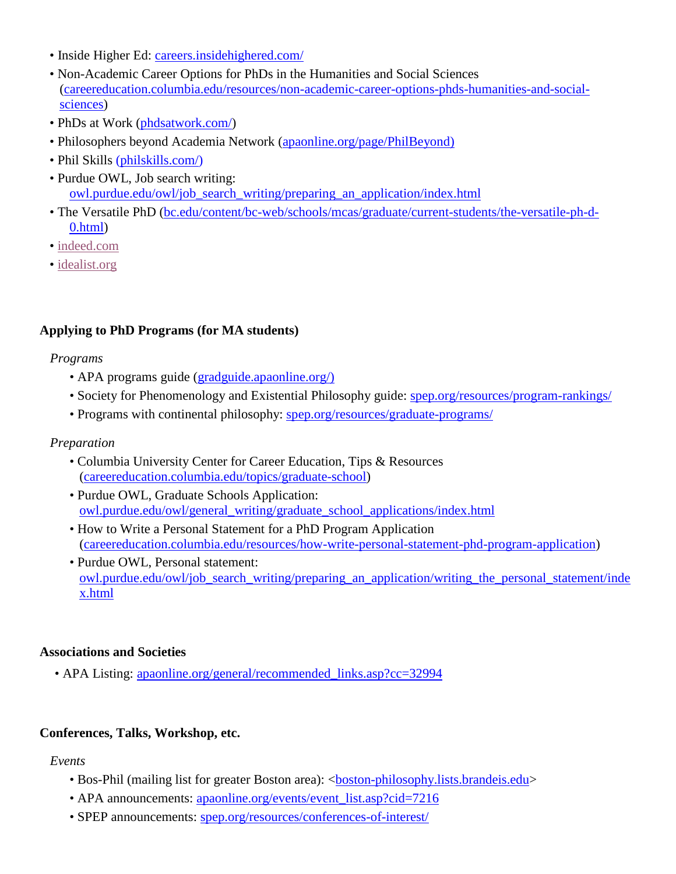- Inside Higher Ed: [careers.insidehighered.com/](https://careers.insidehighered.com/)
- Non-Academic Career Options for PhDs in the Humanities and Social Sciences [\(careereducation.columbia.edu/resources/non-academic-career-options-phds-humanities-and-social](https://www.careereducation.columbia.edu/resources/non-academic-career-options-phds-humanities-and-social-sciences)[sciences\)](https://www.careereducation.columbia.edu/resources/non-academic-career-options-phds-humanities-and-social-sciences)
- PhDs at Work [\(phdsatwork.com/\)](https://phdsatwork.com/)
- Philosophers beyond Academia Network [\(apaonline.org/page/PhilBeyond\)](https://www.apaonline.org/page/PhilBeyond)
- Phil Skills [\(philskills.com/\)](http://www.philskills.com/)
- Purdue OWL, Job search writing: [owl.purdue.edu/owl/job\\_search\\_writing/preparing\\_an\\_application/index.html](https://owl.purdue.edu/owl/job_search_writing/preparing_an_application/index.html)
- The Versatile PhD [\(bc.edu/content/bc-web/schools/mcas/graduate/current-students/the-versatile-ph-d-](https://www.bc.edu/content/bc-web/schools/mcas/graduate/current-students/the-versatile-ph-d-0.html)[0.html\)](https://www.bc.edu/content/bc-web/schools/mcas/graduate/current-students/the-versatile-ph-d-0.html)
- • [indeed.com](https://www.indeed.com/)
- [idealist.org](https://www.idealist.org/en/)

## **Applying to PhD Programs (for MA students)**

#### *Programs*

- APA programs guide [\(gradguide.apaonline.org/\)](https://gradguide.apaonline.org/)
- Society for Phenomenology and Existential Philosophy guide: [spep.org/resources/program-rankings/](http://www.spep.org/resources/program-rankings/)
- Programs with continental philosophy: [spep.org/resources/graduate-programs/](http://www.spep.org/resources/graduate-programs/)

### *Preparation*

- Columbia University Center for Career Education, Tips & Resources [\(careereducation.columbia.edu/topics/graduate-school\)](https://www.careereducation.columbia.edu/topics/graduate-school)
- Purdue OWL, Graduate Schools Application: [owl.purdue.edu/owl/general\\_writing/graduate\\_school\\_applications/index.html](https://owl.purdue.edu/owl/general_writing/graduate_school_applications/index.html)
- How to Write a Personal Statement for a PhD Program Application [\(careereducation.columbia.edu/resources/how-write-personal-statement-phd-program-application\)](https://www.careereducation.columbia.edu/resources/how-write-personal-statement-phd-program-application)
- Purdue OWL, Personal statement: [owl.purdue.edu/owl/job\\_search\\_writing/preparing\\_an\\_application/writing\\_the\\_personal\\_statement/inde](https://owl.purdue.edu/owl/job_search_writing/preparing_an_application/writing_the_personal_statement/index.html) [x.html](https://owl.purdue.edu/owl/job_search_writing/preparing_an_application/writing_the_personal_statement/index.html)

### **Associations and Societies**

• APA Listing: apaonline.org/general/recommended links.asp?cc=32994

### **Conferences, Talks, Workshop, etc.**

### *Events*

- Bos-Phil (mailing list for greater Boston area): <br/> <br/> <br/>bosophy.lists.brandeis.edu>
- APA announcements: [apaonline.org/events/event\\_list.asp?cid=7216](https://www.apaonline.org/events/event_list.asp?cid=7216)
- SPEP announcements: [spep.org/resources/conferences-of-interest/](http://www.spep.org/resources/conferences-of-interest/)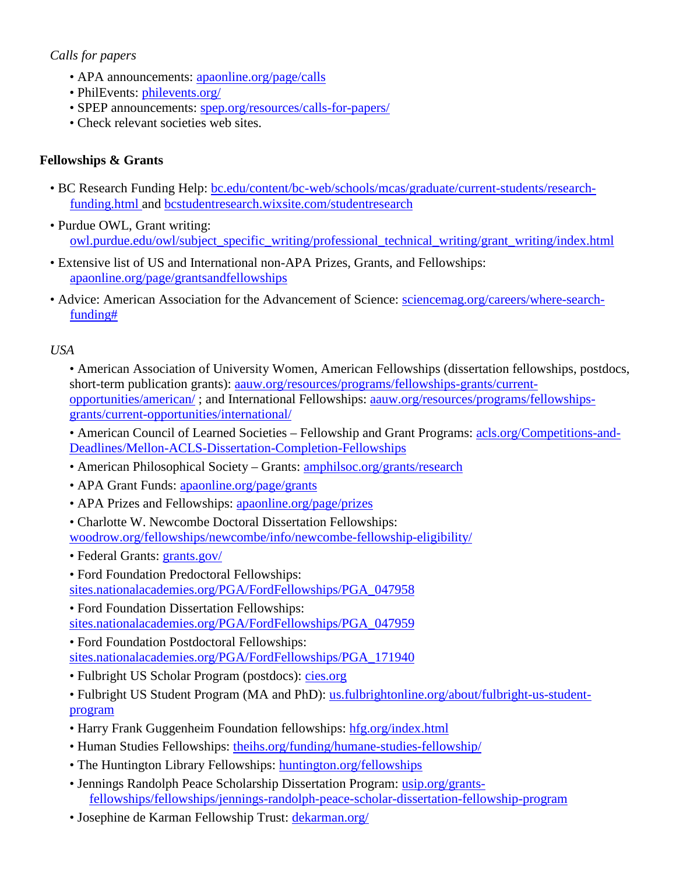# *Calls for papers*

- APA announcements: [apaonline.org/page/calls](https://www.apaonline.org/page/calls)
- PhilEvents: [philevents.org/](https://philevents.org/)
- SPEP announcements: [spep.org/resources/calls-for-papers/](http://www.spep.org/resources/calls-for-papers/)
- Check relevant societies web sites.

## **Fellowships & Grants**

- BC Research Funding Help: [bc.edu/content/bc-web/schools/mcas/graduate/current-students/research](https://www.bc.edu/content/bc-web/schools/mcas/graduate/current-students/research-funding.html)[funding.html](https://www.bc.edu/content/bc-web/schools/mcas/graduate/current-students/research-funding.html) and [bcstudentresearch.wixsite.com/studentresearch](https://bcstudentresearch.wixsite.com/studentresearch)
- Purdue OWL, Grant writing: [owl.purdue.edu/owl/subject\\_specific\\_writing/professional\\_technical\\_writing/grant\\_writing/index.html](https://owl.purdue.edu/owl/subject_specific_writing/professional_technical_writing/grant_writing/index.html)
- Extensive list of US and International non-APA Prizes, Grants, and Fellowships: [apaonline.org/page/grantsandfellowships](https://www.apaonline.org/page/grantsandfellowships)
- Advice: American Association for the Advancement of Science: [sciencemag.org/careers/where-search](https://www.sciencemag.org/careers/where-search-funding)[funding#](https://www.sciencemag.org/careers/where-search-funding)

## *USA*

• American Association of University Women, American Fellowships (dissertation fellowships, postdocs, short-term publication grants): [aauw.org/resources/programs/fellowships-grants/current](https://www.aauw.org/resources/programs/fellowships-grants/current-opportunities/american/)[opportunities/american/](https://www.aauw.org/resources/programs/fellowships-grants/current-opportunities/american/) ; and International Fellowships: [aauw.org/resources/programs/fellowships](https://www.aauw.org/resources/programs/fellowships-grants/current-opportunities/international/)[grants/current-opportunities/international/](https://www.aauw.org/resources/programs/fellowships-grants/current-opportunities/international/)

• American Council of Learned Societies – Fellowship and Grant Programs: [acls.org/Competitions-and-](https://www.acls.org/Competitions-and-Deadlines/Mellon-ACLS-Dissertation-Completion-Fellowships)[Deadlines/Mellon-ACLS-Dissertation-Completion-Fellowships](https://www.acls.org/Competitions-and-Deadlines/Mellon-ACLS-Dissertation-Completion-Fellowships)

- American Philosophical Society Grants: [amphilsoc.org/grants/research](https://www.amphilsoc.org/grants/research)
- APA Grant Funds: [apaonline.org/page/grants](https://www.apaonline.org/page/grants)
- APA Prizes and Fellowships: [apaonline.org/page/prizes](https://www.apaonline.org/page/prizes)
- Charlotte W. Newcombe Doctoral Dissertation Fellowships:

[woodrow.org/fellowships/newcombe/info/newcombe-fellowship-eligibility/](https://woodrow.org/fellowships/newcombe/info/newcombe-fellowship-eligibility/)

- Federal Grants: [grants.gov/](https://www.grants.gov/)
- Ford Foundation Predoctoral Fellowships:

[sites.nationalacademies.org/PGA/FordFellowships/PGA\\_047958](https://sites.nationalacademies.org/PGA/FordFellowships/PGA_047958)

• Ford Foundation Dissertation Fellowships: [sites.nationalacademies.org/PGA/FordFellowships/PGA\\_047959](https://sites.nationalacademies.org/PGA/FordFellowships/PGA_047959)

• Ford Foundation Postdoctoral Fellowships: [sites.nationalacademies.org/PGA/FordFellowships/PGA\\_171940](https://sites.nationalacademies.org/PGA/FordFellowships/PGA_171940)

• Fulbright US Scholar Program (postdocs): [cies.org](https://www.cies.org/)

• Fulbright US Student Program (MA and PhD): [us.fulbrightonline.org/about/fulbright-us-student](https://us.fulbrightonline.org/about/fulbright-us-student-program)[program](https://us.fulbrightonline.org/about/fulbright-us-student-program)

- Harry Frank Guggenheim Foundation fellowships: [hfg.org/index.html](http://www.hfg.org/index.html)
- Human Studies Fellowships: theihs.org/funding/humane-studies-fellowship/
- The Huntington Library Fellowships: [huntington.org/fellowships](https://www.huntington.org/fellowships)
- Jennings Randolph Peace Scholarship Dissertation Program: [usip.org/grants](https://www.usip.org/grants-fellowships/fellowships/jennings-randolph-peace-scholar-dissertation-fellowship-program)[fellowships/fellowships/jennings-randolph-peace-scholar-dissertation-fellowship-program](https://www.usip.org/grants-fellowships/fellowships/jennings-randolph-peace-scholar-dissertation-fellowship-program)
- Josephine de Karman Fellowship Trust: [dekarman.org/](http://www.dekarman.org/)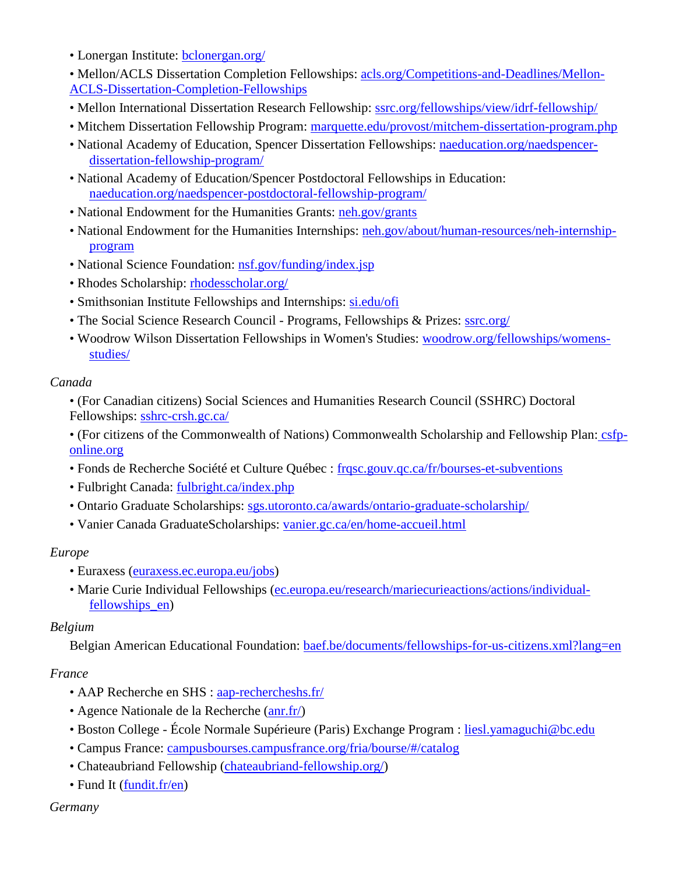- Lonergan Institute: [bclonergan.org/](https://bclonergan.org/)
- Mellon/ACLS Dissertation Completion Fellowships: [acls.org/Competitions-and-Deadlines/Mellon-](https://www.acls.org/Competitions-and-Deadlines/Mellon-ACLS-Dissertation-Completion-Fellowships)[ACLS-Dissertation-Completion-Fellowships](https://www.acls.org/Competitions-and-Deadlines/Mellon-ACLS-Dissertation-Completion-Fellowships)
- Mellon International Dissertation Research Fellowship: [ssrc.org/fellowships/view/idrf-fellowship/](https://www.ssrc.org/fellowships/view/idrf-fellowship/)
- Mitchem Dissertation Fellowship Program: marquette.edu/provost/mitchem-dissertation-program.php
- National Academy of Education, Spencer Dissertation Fellowships: [naeducation.org/naedspencer](https://naeducation.org/naedspencer-dissertation-fellowship-program/)[dissertation-fellowship-program/](https://naeducation.org/naedspencer-dissertation-fellowship-program/)
- National Academy of Education/Spencer Postdoctoral Fellowships in Education: [naeducation.org/naedspencer-postdoctoral-fellowship-program/](https://naeducation.org/naedspencer-postdoctoral-fellowship-program/)
- National Endowment for the Humanities Grants: [neh.gov/grants](https://www.neh.gov/grants)
- National Endowment for the Humanities Internships: [neh.gov/about/human-resources/neh-internship](https://www.neh.gov/about/human-resources/neh-internship-program)[program](https://www.neh.gov/about/human-resources/neh-internship-program)
- National Science Foundation: [nsf.gov/funding/index.jsp](https://www.nsf.gov/funding/index.jsp)
- Rhodes Scholarship: [rhodesscholar.org/](http://www.rhodesscholar.org/)
- Smithsonian Institute Fellowships and Internships: [si.edu/ofi](https://www.si.edu/ofi)
- The Social Science Research Council Programs, Fellowships & Prizes: [ssrc.org/](https://www.ssrc.org/)
- Woodrow Wilson Dissertation Fellowships in Women's Studies: [woodrow.org/fellowships/womens](https://woodrow.org/fellowships/womens-studies/)[studies/](https://woodrow.org/fellowships/womens-studies/)

## *Canada*

• (For Canadian citizens) Social Sciences and Humanities Research Council (SSHRC) Doctoral Fellowships: [sshrc-crsh.gc.ca/](https://www.sshrc-crsh.gc.ca/)

- (For citizens of the Commonwealth of Nations) Commonwealth Scholarship and Fellowship Plan: csfponline.org
- Fonds de Recherche Société et Culture Québec : [frqsc.gouv.qc.ca/fr/bourses-et-subventions](http://www.frqsc.gouv.qc.ca/fr/bourses-et-subventions)
- Fulbright Canada: [fulbright.ca/index.php](https://www.fulbright.ca/index.php)
- Ontario Graduate Scholarships: [sgs.utoronto.ca/awards/ontario-graduate-scholarship/](https://www.sgs.utoronto.ca/awards/ontario-graduate-scholarship/)
- Vanier Canada GraduateScholarships: [vanier.gc.ca/en/home-accueil.html](http://www.vanier.gc.ca/en/home-accueil.html)

# *Europe*

- Euraxess (euraxess.ec.europa.eu/jobs)
- Marie Curie Individual Fellowships (ec.europa.eu/research/mariecurieactions/actions/individualfellowships\_en)

# *Belgium*

Belgian American Educational Foundation: [baef.be/documents/fellowships-for-us-citizens.xml?lang=en](http://www.baef.be/documents/fellowships-for-us-citizens.xml?lang=en)

# *France*

- AAP Recherche en SHS : [aap-rechercheshs.fr/](http://www.aap-rechercheshs.fr/)
- Agence Nationale de la Recherche [\(anr.fr/\)](https://anr.fr/)
- Boston College École Normale Supérieure (Paris) Exchange Program : [liesl.yamaguchi@bc.edu](mailto:liesl.yamaguchi@bc.edu)
- Campus France: [campusbourses.campusfrance.org/fria/bourse/#/catalog](http://campusbourses.campusfrance.org/fria/bourse/#/catalog)
- Chateaubriand Fellowship [\(chateaubriand-fellowship.org/\)](https://www.chateaubriand-fellowship.org/)
- Fund It [\(fundit.fr/en\)](https://fundit.fr/en)

## *Germany*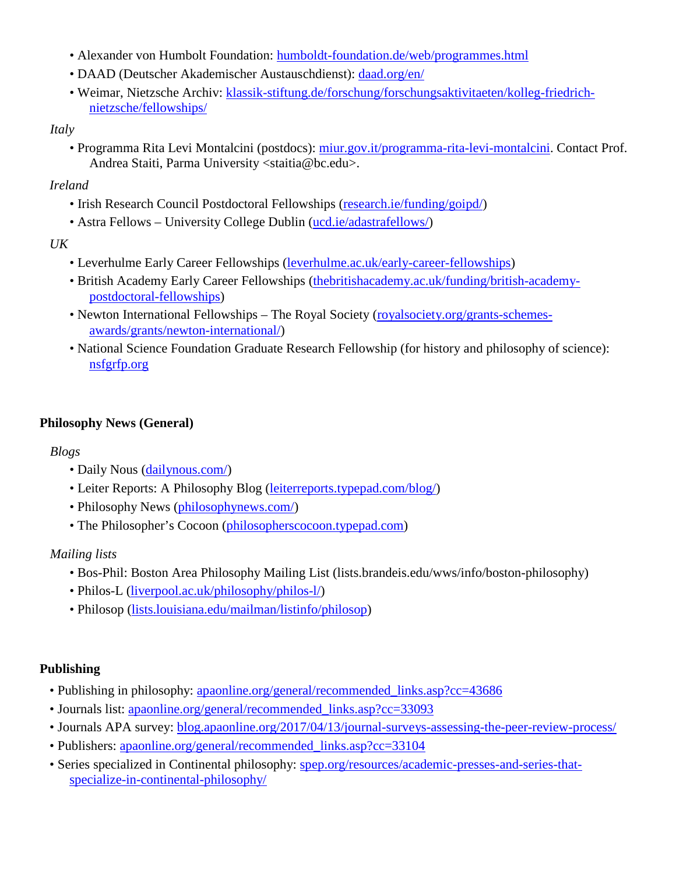- Alexander von Humbolt Foundation: [humboldt-foundation.de/web/programmes.html](http://www.humboldt-foundation.de/web/programmes.html)
- DAAD (Deutscher Akademischer Austauschdienst): [daad.org/en/](https://www.daad.org/en/)
- Weimar, Nietzsche Archiv: [klassik-stiftung.de/forschung/forschungsaktivitaeten/kolleg-friedrich](https://www.klassik-stiftung.de/forschung/forschungsaktivitaeten/kolleg-friedrich-nietzsche/fellowships/)[nietzsche/fellowships/](https://www.klassik-stiftung.de/forschung/forschungsaktivitaeten/kolleg-friedrich-nietzsche/fellowships/)

### *Italy*

• Programma Rita Levi Montalcini (postdocs): [miur.gov.it/programma-rita-levi-montalcini.](https://www.miur.gov.it/programma-rita-levi-montalcini) Contact Prof. Andrea Staiti, Parma University <staitia@bc.edu>.

## *Ireland*

- Irish Research Council Postdoctoral Fellowships (research.ie/funding/goipd/)
- Astra Fellows University College Dublin (ucd.ie/adastrafellows/)

### *UK*

- Leverhulme Early Career Fellowships (leverhulme.ac.uk/early-career-fellowships)
- British Academy Early Career Fellowships (thebritishacademy.ac.uk/funding/british-academypostdoctoral-fellowships)
- Newton International Fellowships The Royal Society (royalsociety.org/grants-schemesawards/grants/newton-international/)
- National Science Foundation Graduate Research Fellowship (for history and philosophy of science): [nsfgrfp.org](http://www.nsfgrfp.org/)

## **Philosophy News (General)**

## *Blogs*

- Daily Nous [\(dailynous.com/\)](http://dailynous.com/)
- Leiter Reports: A Philosophy Blog [\(leiterreports.typepad.com/blog/\)](https://leiterreports.typepad.com/blog/)
- Philosophy News [\(philosophynews.com/\)](https://www.philosophynews.com/)
- The Philosopher's Cocoon [\(philosopherscocoon.typepad.com\)](https://philosopherscocoon.typepad.com/)

## *Mailing lists*

- Bos-Phil: Boston Area Philosophy Mailing List (lists.brandeis.edu/wws/info/boston-philosophy)
- Philos-L [\(liverpool.ac.uk/philosophy/philos-l/\)](https://www.liverpool.ac.uk/philosophy/philos-l/)
- Philosop [\(lists.louisiana.edu/mailman/listinfo/philosop\)](https://lists.louisiana.edu/mailman/listinfo/philosop)

## **Publishing**

- Publishing in philosophy: [apaonline.org/general/recommended\\_links.asp?cc=43686](https://www.apaonline.org/general/recommended_links.asp?cc=43686)
- Journals list: [apaonline.org/general/recommended\\_links.asp?cc=33093](https://www.apaonline.org/general/recommended_links.asp?cc=33093)
- Journals APA survey: [blog.apaonline.org/2017/04/13/journal-surveys-assessing-the-peer-review-process/](https://blog.apaonline.org/2017/04/13/journal-surveys-assessing-the-peer-review-process/)
- Publishers: [apaonline.org/general/recommended\\_links.asp?cc=33104](https://www.apaonline.org/general/recommended_links.asp?cc=33104)
- Series specialized in Continental philosophy: [spep.org/resources/academic-presses-and-series-that](http://www.spep.org/resources/academic-presses-and-series-that-specialize-in-continental-philosophy/)[specialize-in-continental-philosophy/](http://www.spep.org/resources/academic-presses-and-series-that-specialize-in-continental-philosophy/)